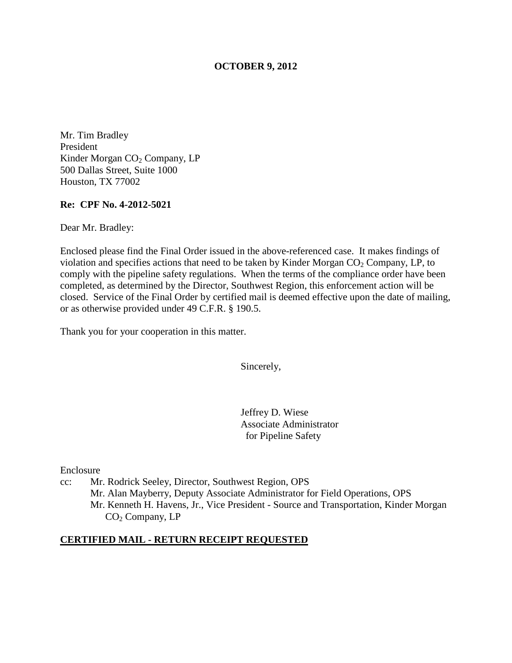### **OCTOBER 9, 2012**

Mr. Tim Bradley President Kinder Morgan CO<sub>2</sub> Company, LP 500 Dallas Street, Suite 1000 Houston, TX 77002

### **Re: CPF No. 4-2012-5021**

Dear Mr. Bradley:

Enclosed please find the Final Order issued in the above-referenced case. It makes findings of violation and specifies actions that need to be taken by Kinder Morgan  $CO<sub>2</sub>$  Company, LP, to comply with the pipeline safety regulations. When the terms of the compliance order have been completed, as determined by the Director, Southwest Region, this enforcement action will be closed. Service of the Final Order by certified mail is deemed effective upon the date of mailing, or as otherwise provided under 49 C.F.R. § 190.5.

Thank you for your cooperation in this matter.

Sincerely,

Jeffrey D. Wiese Associate Administrator for Pipeline Safety

Enclosure

cc: Mr. Rodrick Seeley, Director, Southwest Region, OPS Mr. Alan Mayberry, Deputy Associate Administrator for Field Operations, OPS Mr. Kenneth H. Havens, Jr., Vice President - Source and Transportation, Kinder Morgan CO<sub>2</sub> Company, LP

#### **CERTIFIED MAIL - RETURN RECEIPT REQUESTED**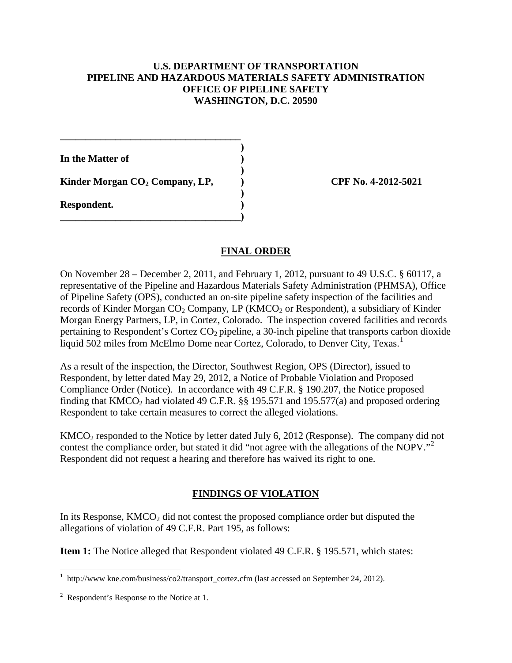## **U.S. DEPARTMENT OF TRANSPORTATION PIPELINE AND HAZARDOUS MATERIALS SAFETY ADMINISTRATION OFFICE OF PIPELINE SAFETY WASHINGTON, D.C. 20590**

**In the Matter of )** 

**Kinder Morgan CO<sub>2</sub> Company, LP, (2012) CPF No. 4-2012-5021** 

**\_\_\_\_\_\_\_\_\_\_\_\_\_\_\_\_\_\_\_\_\_\_\_\_\_\_\_\_\_\_\_\_\_\_\_\_ )** 

 **)** 

 **)** 

**\_\_\_\_\_\_\_\_\_\_\_\_\_\_\_\_\_\_\_\_\_\_\_\_\_\_\_\_\_\_\_\_\_\_\_\_)** 

**Respondent. )** 

## **FINAL ORDER**

On November 28 – December 2, 2011, and February 1, 2012, pursuant to 49 U.S.C. § 60117, a representative of the Pipeline and Hazardous Materials Safety Administration (PHMSA), Office of Pipeline Safety (OPS), conducted an on-site pipeline safety inspection of the facilities and records of Kinder Morgan  $CO<sub>2</sub>$  Company, LP (KMCO<sub>2</sub> or Respondent), a subsidiary of Kinder Morgan Energy Partners, LP, in Cortez, Colorado. The inspection covered facilities and records pertaining to Respondent's Cortez  $CO<sub>2</sub>$  pipeline, a 30-inch pipeline that transports carbon dioxide liquid 502 miles from McElmo Dome near Cortez, Colorado, to Denver City, Texas.<sup>1</sup>

As a result of the inspection, the Director, Southwest Region, OPS (Director), issued to Respondent, by letter dated May 29, 2012, a Notice of Probable Violation and Proposed Compliance Order (Notice). In accordance with 49 C.F.R. § 190.207, the Notice proposed finding that  $KMCO<sub>2</sub>$  had violated 49 C.F.R. §§ 195.571 and 195.577(a) and proposed ordering Respondent to take certain measures to correct the alleged violations.

 $KMCO<sub>2</sub>$  responded to the Notice by letter dated July 6, 2012 (Response). The company did not contest the compliance order, but stated it did "not agree with the allegations of the NOPV."<sup>2</sup> Respondent did not request a hearing and therefore has waived its right to one.

# **FINDINGS OF VIOLATION**

In its Response,  $KMCO<sub>2</sub>$  did not contest the proposed compliance order but disputed the allegations of violation of 49 C.F.R. Part 195, as follows:

**Item 1:** The Notice alleged that Respondent violated 49 C.F.R. § 195.571, which states:

 1 http://www kne.com/business/co2/transport\_cortez.cfm (last accessed on September 24, 2012).

 $2^2$  Respondent's Response to the Notice at 1.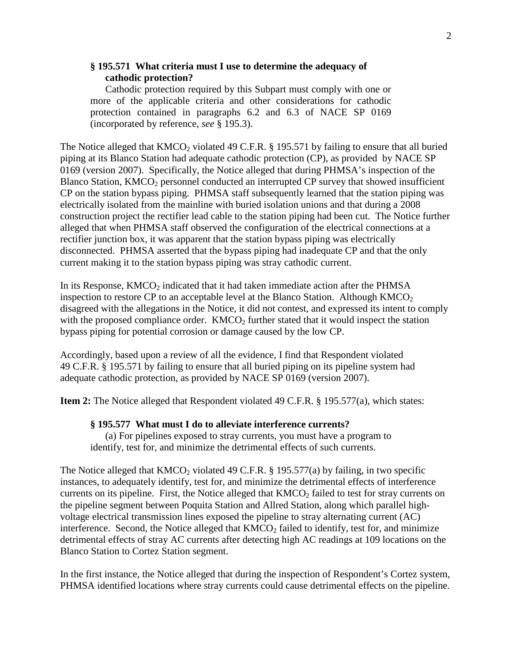## **§ 195.571 What criteria must I use to determine the adequacy of cathodic protection?**

Cathodic protection required by this Subpart must comply with one or more of the applicable criteria and other considerations for cathodic protection contained in paragraphs 6.2 and 6.3 of NACE SP 0169 (incorporated by reference, *see* § 195.3).

The Notice alleged that  $KMCO<sub>2</sub>$  violated 49 C.F.R. § 195.571 by failing to ensure that all buried piping at its Blanco Station had adequate cathodic protection (CP), as provided by NACE SP 0169 (version 2007). Specifically, the Notice alleged that during PHMSA's inspection of the Blanco Station, KMCO<sub>2</sub> personnel conducted an interrupted CP survey that showed insufficient CP on the station bypass piping. PHMSA staff subsequently learned that the station piping was electrically isolated from the mainline with buried isolation unions and that during a 2008 construction project the rectifier lead cable to the station piping had been cut. The Notice further alleged that when PHMSA staff observed the configuration of the electrical connections at a rectifier junction box, it was apparent that the station bypass piping was electrically disconnected. PHMSA asserted that the bypass piping had inadequate CP and that the only current making it to the station bypass piping was stray cathodic current.

In its Response,  $KMCO<sub>2</sub>$  indicated that it had taken immediate action after the PHMSA inspection to restore CP to an acceptable level at the Blanco Station. Although  $KMCO<sub>2</sub>$ disagreed with the allegations in the Notice, it did not contest, and expressed its intent to comply with the proposed compliance order.  $KMCO<sub>2</sub>$  further stated that it would inspect the station bypass piping for potential corrosion or damage caused by the low CP.

Accordingly, based upon a review of all the evidence, I find that Respondent violated 49 C.F.R. § 195.571 by failing to ensure that all buried piping on its pipeline system had adequate cathodic protection, as provided by NACE SP 0169 (version 2007).

**Item 2:** The Notice alleged that Respondent violated 49 C.F.R. § 195.577(a), which states:

#### **§ 195.577 What must I do to alleviate interference currents?**

 (a) For pipelines exposed to stray currents, you must have a program to identify, test for, and minimize the detrimental effects of such currents.

The Notice alleged that  $KMCO_2$  violated 49 C.F.R. § 195.577(a) by failing, in two specific instances, to adequately identify, test for, and minimize the detrimental effects of interference currents on its pipeline. First, the Notice alleged that  $KMCO<sub>2</sub>$  failed to test for stray currents on the pipeline segment between Poquita Station and Allred Station, along which parallel highvoltage electrical transmission lines exposed the pipeline to stray alternating current (AC) interference. Second, the Notice alleged that  $KMCO<sub>2</sub>$  failed to identify, test for, and minimize detrimental effects of stray AC currents after detecting high AC readings at 109 locations on the Blanco Station to Cortez Station segment.

In the first instance, the Notice alleged that during the inspection of Respondent's Cortez system, PHMSA identified locations where stray currents could cause detrimental effects on the pipeline.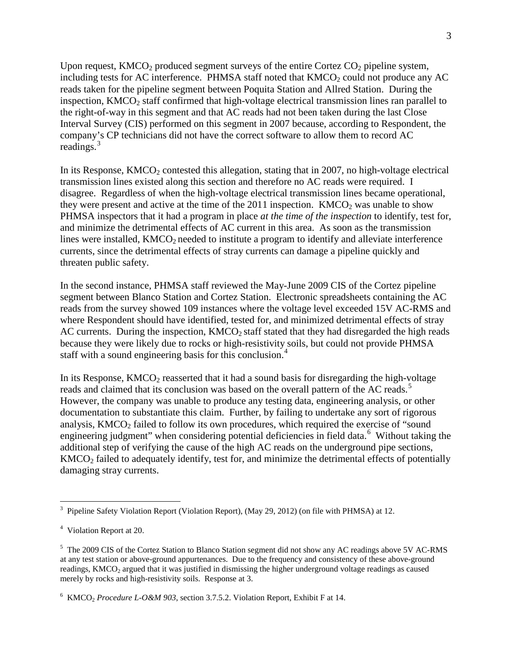Upon request,  $KMCO<sub>2</sub>$  produced segment surveys of the entire Cortez  $CO<sub>2</sub>$  pipeline system, including tests for AC interference. PHMSA staff noted that  $KMCO<sub>2</sub>$  could not produce any AC reads taken for the pipeline segment between Poquita Station and Allred Station. During the inspection,  $KMCO<sub>2</sub>$  staff confirmed that high-voltage electrical transmission lines ran parallel to the right-of-way in this segment and that AC reads had not been taken during the last Close Interval Survey (CIS) performed on this segment in 2007 because, according to Respondent, the company's CP technicians did not have the correct software to allow them to record AC readings. 3

In its Response,  $KMCO<sub>2</sub>$  contested this allegation, stating that in 2007, no high-voltage electrical transmission lines existed along this section and therefore no AC reads were required. I disagree. Regardless of when the high-voltage electrical transmission lines became operational, they were present and active at the time of the 2011 inspection.  $KMCO<sub>2</sub>$  was unable to show PHMSA inspectors that it had a program in place *at the time of the inspection* to identify, test for, and minimize the detrimental effects of AC current in this area. As soon as the transmission lines were installed,  $KMCO<sub>2</sub>$  needed to institute a program to identify and alleviate interference currents, since the detrimental effects of stray currents can damage a pipeline quickly and threaten public safety.

In the second instance, PHMSA staff reviewed the May-June 2009 CIS of the Cortez pipeline segment between Blanco Station and Cortez Station. Electronic spreadsheets containing the AC reads from the survey showed 109 instances where the voltage level exceeded 15V AC-RMS and where Respondent should have identified, tested for, and minimized detrimental effects of stray AC currents. During the inspection,  $KMCO<sub>2</sub>$  staff stated that they had disregarded the high reads because they were likely due to rocks or high-resistivity soils, but could not provide PHMSA staff with a sound engineering basis for this conclusion.<sup>4</sup>

In its Response,  $KMCO<sub>2</sub>$  reasserted that it had a sound basis for disregarding the high-voltage reads and claimed that its conclusion was based on the overall pattern of the AC reads.<sup>5</sup> However, the company was unable to produce any testing data, engineering analysis, or other documentation to substantiate this claim. Further, by failing to undertake any sort of rigorous analysis,  $KMCO<sub>2</sub>$  failed to follow its own procedures, which required the exercise of "sound" engineering judgment" when considering potential deficiencies in field data.<sup>6</sup> Without taking the additional step of verifying the cause of the high AC reads on the underground pipe sections, KMCO2 failed to adequately identify, test for, and minimize the detrimental effects of potentially damaging stray currents.

 $\overline{a}$ <sup>3</sup> Pipeline Safety Violation Report (Violation Report), (May 29, 2012) (on file with PHMSA) at 12.

<sup>&</sup>lt;sup>4</sup> Violation Report at 20.

<sup>&</sup>lt;sup>5</sup> The 2009 CIS of the Cortez Station to Blanco Station segment did not show any AC readings above 5V AC-RMS at any test station or above-ground appurtenances. Due to the frequency and consistency of these above-ground readings, KMCO<sub>2</sub> argued that it was justified in dismissing the higher underground voltage readings as caused merely by rocks and high-resistivity soils. Response at 3.

<sup>&</sup>lt;sup>6</sup> KMCO<sub>2</sub> *Procedure L-O&M 903*, section 3.7.5.2. Violation Report, Exhibit F at 14.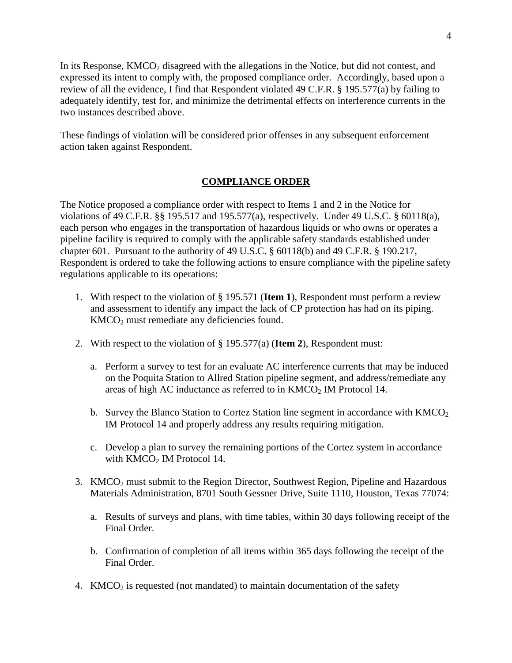In its Response,  $KMCO<sub>2</sub>$  disagreed with the allegations in the Notice, but did not contest, and expressed its intent to comply with, the proposed compliance order. Accordingly, based upon a review of all the evidence, I find that Respondent violated 49 C.F.R. § 195.577(a) by failing to adequately identify, test for, and minimize the detrimental effects on interference currents in the two instances described above.

These findings of violation will be considered prior offenses in any subsequent enforcement action taken against Respondent.

## **COMPLIANCE ORDER**

The Notice proposed a compliance order with respect to Items 1 and 2 in the Notice for violations of 49 C.F.R. §§ 195.517 and 195.577(a), respectively. Under 49 U.S.C. § 60118(a), each person who engages in the transportation of hazardous liquids or who owns or operates a pipeline facility is required to comply with the applicable safety standards established under chapter 601. Pursuant to the authority of 49 U.S.C. § 60118(b) and 49 C.F.R. § 190.217, Respondent is ordered to take the following actions to ensure compliance with the pipeline safety regulations applicable to its operations:

- 1. With respect to the violation of § 195.571 (**Item 1**), Respondent must perform a review and assessment to identify any impact the lack of CP protection has had on its piping.  $KMCO<sub>2</sub>$  must remediate any deficiencies found.
- 2. With respect to the violation of § 195.577(a) (**Item 2**), Respondent must:
	- a. Perform a survey to test for an evaluate AC interference currents that may be induced on the Poquita Station to Allred Station pipeline segment, and address/remediate any areas of high AC inductance as referred to in  $KMCO<sub>2</sub>$  IM Protocol 14.
	- b. Survey the Blanco Station to Cortez Station line segment in accordance with  $KMCO<sub>2</sub>$ IM Protocol 14 and properly address any results requiring mitigation.
	- c. Develop a plan to survey the remaining portions of the Cortez system in accordance with  $KMCO<sub>2</sub>$  IM Protocol 14.
- 3. KMCO<sub>2</sub> must submit to the Region Director, Southwest Region, Pipeline and Hazardous Materials Administration, 8701 South Gessner Drive, Suite 1110, Houston, Texas 77074:
	- a. Results of surveys and plans, with time tables, within 30 days following receipt of the Final Order.
	- b. Confirmation of completion of all items within 365 days following the receipt of the Final Order.
- 4. KMCO<sub>2</sub> is requested (not mandated) to maintain documentation of the safety